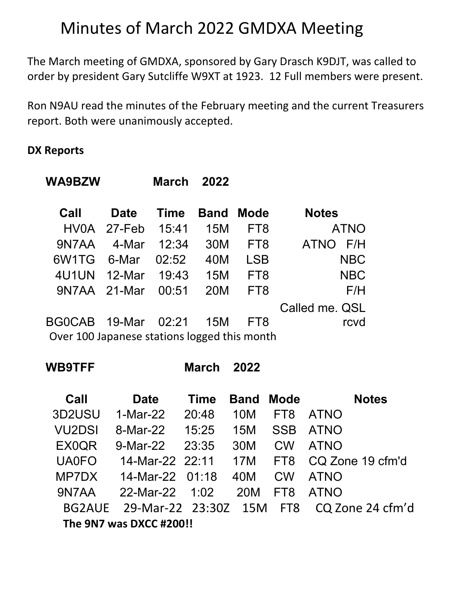# Minutes of March 2022 GMDXA Meeting

The March meeting of GMDXA, sponsored by Gary Drasch K9DJT, was called to order by president Gary Sutcliffe W9XT at 1923. 12 Full members were present.

Ron N9AU read the minutes of the February meeting and the current Treasurers report. Both were unanimously accepted.

## **DX Reports**

| WA9BZW                                       |             | <b>March</b> | 2022       |                 |                    |
|----------------------------------------------|-------------|--------------|------------|-----------------|--------------------|
| Call                                         | <b>Date</b> | <b>Time</b>  | Band       | <b>Mode</b>     | <b>Notes</b>       |
|                                              | HV0A 27-Feb | 15:41        | 15M        | FT <sub>8</sub> | <b>ATNO</b>        |
| 9N7AA                                        | 4-Mar       | 12:34        | 30M        | FT <sub>8</sub> | F/H<br><b>ATNO</b> |
| 6W <sub>1</sub> TG                           | 6-Mar       | 02:52        | 40M        | <b>LSB</b>      | <b>NBC</b>         |
| 4U1UN                                        | 12-Mar      | 19:43        | 15M        | FT <sub>8</sub> | <b>NBC</b>         |
| 9N7AA 21-Mar                                 |             | 00:51        | <b>20M</b> | FT <sub>8</sub> | F/H                |
|                                              |             |              |            |                 | Called me. QSL     |
| <b>BGOCAB</b>                                | 19-Mar      | 02:21        | 15M        | FT8             | rcvd               |
| Over 100 Japanese stations logged this month |             |              |            |                 |                    |

**WB9TFF March 2022**

| Call          | <b>Date</b>             | <b>Time</b> | <b>Band</b> | <b>Mode</b>     | <b>Notes</b>     |
|---------------|-------------------------|-------------|-------------|-----------------|------------------|
| 3D2USU        | 1-Mar-22                | 20:48       | 10M         | FT <sub>8</sub> | <b>ATNO</b>      |
| <b>VU2DSI</b> | 8-Mar-22                | 15:25       | 15M         | <b>SSB</b>      | <b>ATNO</b>      |
| EX0QR         | 9-Mar-22                | 23:35       | 30M         | <b>CW</b>       | <b>ATNO</b>      |
| <b>UA0FO</b>  | 14-Mar-22 22:11         |             | 17M         | FT8             | CQ Zone 19 cfm'd |
| MP7DX         | $14$ -Mar-22 01:18      |             | 40M         | <b>CW</b>       | <b>ATNO</b>      |
| 9N7AA         | 22-Mar-22               | 1:02        | 20M         | FT8             | <b>ATNO</b>      |
| BG2AUE        | 29-Mar-22 23:30Z 15M    |             |             | FT8             | CQ Zone 24 cfm'd |
|               | The 9N7 was DXCC #200!! |             |             |                 |                  |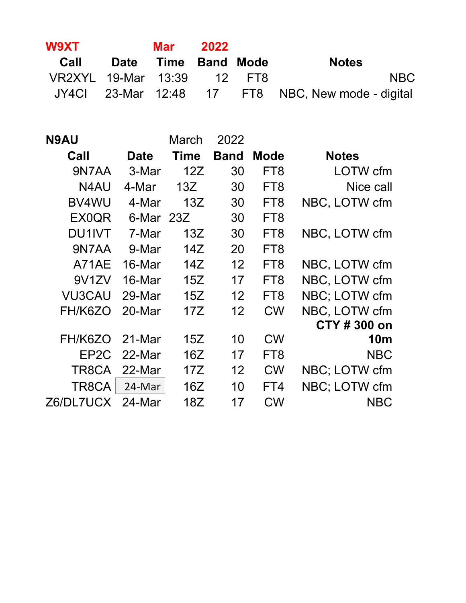| <b>W9XT</b>                | Mar 2022            |  |                                                   |
|----------------------------|---------------------|--|---------------------------------------------------|
| Call                       | Date Time Band Mode |  | <b>Notes</b>                                      |
| VR2XYL 19-Mar 13:39 12 FT8 |                     |  | <b>NBC</b>                                        |
|                            |                     |  | JY4Cl 23-Mar 12:48 17 FT8 NBC, New mode - digital |

| <b>N9AU</b>        |             | March       | 2022              |                 |               |
|--------------------|-------------|-------------|-------------------|-----------------|---------------|
| Call               | <b>Date</b> | <b>Time</b> | <b>Band</b>       | <b>Mode</b>     | <b>Notes</b>  |
| 9N7AA              | 3-Mar       | 12Z         | 30                | FT <sub>8</sub> | LOTW cfm      |
| N4AU               | 4-Mar       | 13Z         | 30                | FT <sub>8</sub> | Nice call     |
| BV4WU              | 4-Mar       | 13Z         | 30                | FT <sub>8</sub> | NBC, LOTW cfm |
| <b>EX0QR</b>       | 6-Mar 23Z   |             | 30                | FT <sub>8</sub> |               |
| <b>DU1IVT</b>      | 7-Mar       | 13Z         | 30                | FT <sub>8</sub> | NBC, LOTW cfm |
| 9N7AA              | 9-Mar       | 14Z         | 20                | FT <sub>8</sub> |               |
| A71AE              | 16-Mar      | 14Z         | 12                | FT <sub>8</sub> | NBC, LOTW cfm |
| 9V <sub>1</sub> ZV | 16-Mar      | 15Z         | 17                | FT <sub>8</sub> | NBC, LOTW cfm |
| <b>VU3CAU</b>      | 29-Mar      | 15Z         | $12 \overline{ }$ | FT <sub>8</sub> | NBC; LOTW cfm |
| FH/K6ZO            | 20-Mar      | 17Z         | 12                | <b>CW</b>       | NBC, LOTW cfm |
|                    |             |             |                   |                 | CTY # 300 on  |
| FH/K6ZO            | 21-Mar      | 15Z         | 10                | <b>CW</b>       | <b>10m</b>    |
| EP <sub>2</sub> C  | 22-Mar      | 16Z         | 17                | FT <sub>8</sub> | <b>NBC</b>    |
| TR8CA              | 22-Mar      | 17Z         | 12                | <b>CW</b>       | NBC; LOTW cfm |
| TR8CA              | 24-Mar      | 16Z         | 10                | FT4             | NBC; LOTW cfm |
| Z6/DL7UCX 24-Mar   |             | 18Z         | 17                | <b>CW</b>       | NBC           |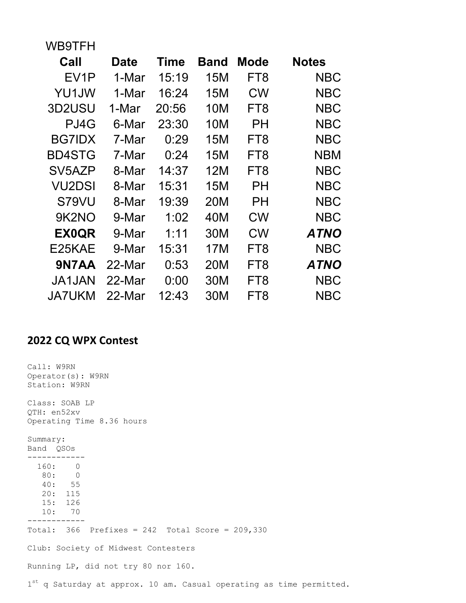| WB9TFH            |        |             |             |                 |              |
|-------------------|--------|-------------|-------------|-----------------|--------------|
| Call              | Date   | <b>Time</b> | <b>Band</b> | Mode            | <b>Notes</b> |
| EV <sub>1</sub> P | 1-Mar  | 15:19       | 15M         | FT8             | NBC          |
| YU1JW             | 1-Mar  | 16:24       | 15M         | <b>CW</b>       | <b>NBC</b>   |
| 3D2USU            | 1-Mar  | 20:56       | 10M         | FT8             | <b>NBC</b>   |
| PJ4G              | 6-Mar  | 23:30       | 10M         | PН              | <b>NBC</b>   |
| <b>BG7IDX</b>     | 7-Mar  | 0:29        | 15M         | FT8             | <b>NBC</b>   |
| <b>BD4STG</b>     | 7-Mar  | 0:24        | 15M         | FT8             | NBM          |
| SV5AZP            | 8-Mar  | 14:37       | 12M         | FT8             | <b>NBC</b>   |
| <b>VU2DSI</b>     | 8-Mar  | 15:31       | 15M         | PН              | <b>NBC</b>   |
| S79VU             | 8-Mar  | 19:39       | 20M         | PН              | <b>NBC</b>   |
| 9K2NO             | 9-Mar  | 1:02        | 40M         | <b>CW</b>       | <b>NBC</b>   |
| <b>EX0QR</b>      | 9-Mar  | 1:11        | 30M         | <b>CW</b>       | <b>ATNO</b>  |
| E25KAE            | 9-Mar  | 15:31       | 17M         | FT8             | <b>NBC</b>   |
| 9N7AA             | 22-Mar | 0:53        | 20M         | FT <sub>8</sub> | <b>ATNO</b>  |
| <b>JA1JAN</b>     | 22-Mar | 0:00        | 30M         | FT8             | <b>NBC</b>   |
| <b>JA7UKM</b>     | 22-Mar | 12:43       | 30M         | FT8             | NBC          |

# **2022 CQ WPX Contest**

| Call: W9RN<br>Operator(s): W9RN<br>Station: W9RN                          |  |  |  |  |
|---------------------------------------------------------------------------|--|--|--|--|
| Class: SOAB LP<br>QTH: en52xv<br>Operating Time 8.36 hours                |  |  |  |  |
| Summary:<br>Band QSOs                                                     |  |  |  |  |
| 160: 0<br>80: 0<br>40:55<br>20:115<br>15: 126<br>10: 70                   |  |  |  |  |
| Total: $366$ Prefixes = 242 Total Score = 209,330                         |  |  |  |  |
| Club: Society of Midwest Contesters                                       |  |  |  |  |
| Running LP, did not try 80 nor 160.                                       |  |  |  |  |
| $1^{st}$ q Saturday at approx. 10 am. Casual operating as time permitted. |  |  |  |  |